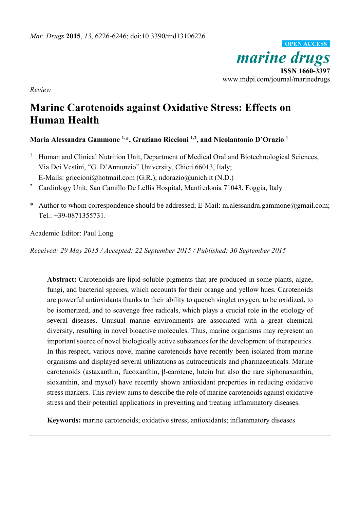*marine drugs*  **ISSN 1660-3397**  www.mdpi.com/journal/marinedrugs **OPEN ACCESS**

*Review*

# **Marine Carotenoids against Oxidative Stress: Effects on Human Health**

## **Maria Alessandra Gammone 1,\*, Graziano Riccioni 1,2, and Nicolantonio D'Orazio 1**

- 1 Human and Clinical Nutrition Unit, Department of Medical Oral and Biotechnological Sciences, Via Dei Vestini, "G. D'Annunzio" University, Chieti 66013, Italy; E-Mails: griccioni@hotmail.com (G.R.); ndorazio@unich.it (N.D.)
- <sup>2</sup> Cardiology Unit, San Camillo De Lellis Hospital, Manfredonia 71043, Foggia, Italy
- \* Author to whom correspondence should be addressed; E-Mail: m.alessandra.gammone@gmail.com; Tel.: +39-0871355731.

Academic Editor: Paul Long

*Received: 29 May 2015 / Accepted: 22 September 2015 / Published: 30 September 2015* 

**Abstract:** Carotenoids are lipid-soluble pigments that are produced in some plants, algae, fungi, and bacterial species, which accounts for their orange and yellow hues. Carotenoids are powerful antioxidants thanks to their ability to quench singlet oxygen, to be oxidized, to be isomerized, and to scavenge free radicals, which plays a crucial role in the etiology of several diseases. Unusual marine environments are associated with a great chemical diversity, resulting in novel bioactive molecules. Thus, marine organisms may represent an important source of novel biologically active substances for the development of therapeutics. In this respect, various novel marine carotenoids have recently been isolated from marine organisms and displayed several utilizations as nutraceuticals and pharmaceuticals. Marine carotenoids (astaxanthin, fucoxanthin, β-carotene, lutein but also the rare siphonaxanthin, sioxanthin, and myxol) have recently shown antioxidant properties in reducing oxidative stress markers. This review aims to describe the role of marine carotenoids against oxidative stress and their potential applications in preventing and treating inflammatory diseases.

**Keywords:** marine carotenoids; oxidative stress; antioxidants; inflammatory diseases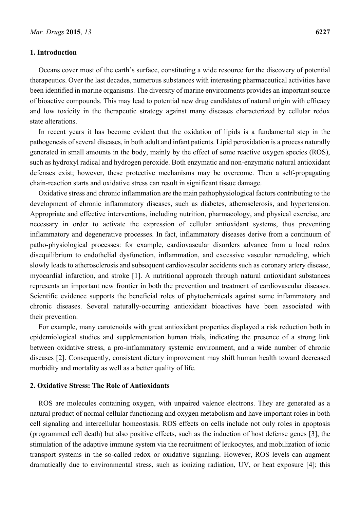#### **1. Introduction**

Oceans cover most of the earth's surface, constituting a wide resource for the discovery of potential therapeutics. Over the last decades, numerous substances with interesting pharmaceutical activities have been identified in marine organisms. The diversity of marine environments provides an important source of bioactive compounds. This may lead to potential new drug candidates of natural origin with efficacy and low toxicity in the therapeutic strategy against many diseases characterized by cellular redox state alterations.

In recent years it has become evident that the oxidation of lipids is a fundamental step in the pathogenesis of several diseases, in both adult and infant patients. Lipid peroxidation is a process naturally generated in small amounts in the body, mainly by the effect of some reactive oxygen species (ROS), such as hydroxyl radical and hydrogen peroxide. Both enzymatic and non-enzymatic natural antioxidant defenses exist; however, these protective mechanisms may be overcome. Then a self-propagating chain-reaction starts and oxidative stress can result in significant tissue damage.

Oxidative stress and chronic inflammation are the main pathophysiological factors contributing to the development of chronic inflammatory diseases, such as diabetes, atherosclerosis, and hypertension. Appropriate and effective interventions, including nutrition, pharmacology, and physical exercise, are necessary in order to activate the expression of cellular antioxidant systems, thus preventing inflammatory and degenerative processes. In fact, inflammatory diseases derive from a continuum of patho-physiological processes: for example, cardiovascular disorders advance from a local redox disequilibrium to endothelial dysfunction, inflammation, and excessive vascular remodeling, which slowly leads to atherosclerosis and subsequent cardiovascular accidents such as coronary artery disease, myocardial infarction, and stroke [1]. A nutritional approach through natural antioxidant substances represents an important new frontier in both the prevention and treatment of cardiovascular diseases. Scientific evidence supports the beneficial roles of phytochemicals against some inflammatory and chronic diseases. Several naturally-occurring antioxidant bioactives have been associated with their prevention.

For example, many carotenoids with great antioxidant properties displayed a risk reduction both in epidemiological studies and supplementation human trials, indicating the presence of a strong link between oxidative stress, a pro-inflammatory systemic environment, and a wide number of chronic diseases [2]. Consequently, consistent dietary improvement may shift human health toward decreased morbidity and mortality as well as a better quality of life.

#### **2. Oxidative Stress: The Role of Antioxidants**

ROS are molecules containing oxygen, with unpaired valence electrons. They are generated as a natural product of normal cellular functioning and oxygen metabolism and have important roles in both cell signaling and intercellular homeostasis. ROS effects on cells include not only roles in apoptosis (programmed cell death) but also positive effects, such as the induction of host defense genes [3], the stimulation of the adaptive immune system via the recruitment of leukocytes, and mobilization of ionic transport systems in the so-called redox or oxidative signaling. However, ROS levels can augment dramatically due to environmental stress, such as ionizing radiation, UV, or heat exposure [4]; this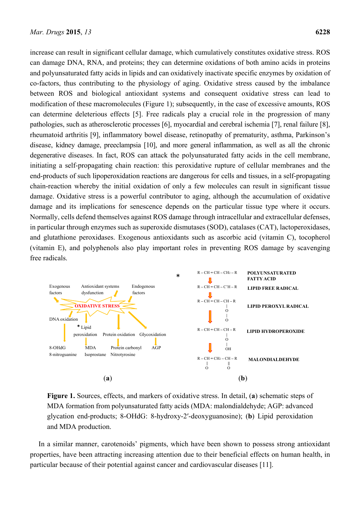increase can result in significant cellular damage, which cumulatively constitutes oxidative stress. ROS can damage DNA, RNA, and proteins; they can determine oxidations of both amino acids in proteins and polyunsaturated fatty acids in lipids and can oxidatively inactivate specific enzymes by oxidation of co-factors, thus contributing to the physiology of aging. Oxidative stress caused by the imbalance between ROS and biological antioxidant systems and consequent oxidative stress can lead to modification of these macromolecules (Figure 1); subsequently, in the case of excessive amounts, ROS can determine deleterious effects [5]. Free radicals play a crucial role in the progression of many pathologies, such as atherosclerotic processes [6], myocardial and cerebral ischemia [7], renal failure [8], rheumatoid arthritis [9], inflammatory bowel disease, retinopathy of prematurity, asthma, Parkinson's disease, kidney damage, preeclampsia [10], and more general inflammation, as well as all the chronic degenerative diseases. In fact, ROS can attack the polyunsaturated fatty acids in the cell membrane, initiating a self-propagating chain reaction: this peroxidative rupture of cellular membranes and the end-products of such lipoperoxidation reactions are dangerous for cells and tissues, in a self-propagating chain-reaction whereby the initial oxidation of only a few molecules can result in significant tissue damage. Oxidative stress is a powerful contributor to aging, although the accumulation of oxidative damage and its implications for senescence depends on the particular tissue type where it occurs. Normally, cells defend themselves against ROS damage through intracellular and extracellular defenses, in particular through enzymes such as superoxide dismutases (SOD), catalases (CAT), lactoperoxidases, and glutathione peroxidases. Exogenous antioxidants such as ascorbic acid (vitamin C), tocopherol (vitamin E), and polyphenols also play important roles in preventing ROS damage by scavenging free radicals.



**Figure 1.** Sources, effects, and markers of oxidative stress. In detail, (**a**) schematic steps of MDA formation from polyunsaturated fatty acids (MDA: malondialdehyde; AGP: advanced glycation end-products; 8-OHdG: 8-hydroxy-2′-deoxyguanosine); (**b**) Lipid peroxidation and MDA production.

In a similar manner, carotenoids' pigments, which have been shown to possess strong antioxidant properties, have been attracting increasing attention due to their beneficial effects on human health, in particular because of their potential against cancer and cardiovascular diseases [11].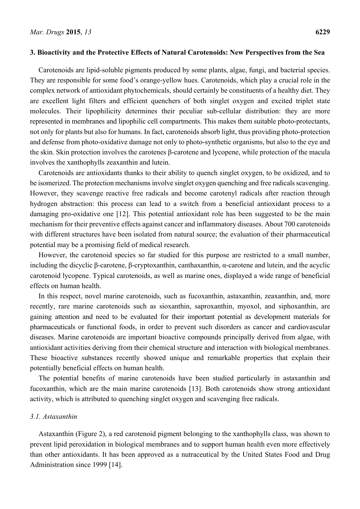#### **3. Bioactivity and the Protective Effects of Natural Carotenoids: New Perspectives from the Sea**

Carotenoids are lipid-soluble pigments produced by some plants, algae, fungi, and bacterial species. They are responsible for some food's orange-yellow hues. Carotenoids, which play a crucial role in the complex network of antioxidant phytochemicals, should certainly be constituents of a healthy diet. They are excellent light filters and efficient quenchers of both singlet oxygen and excited triplet state molecules. Their lipophilicity determines their peculiar sub-cellular distribution: they are more represented in membranes and lipophilic cell compartments. This makes them suitable photo-protectants, not only for plants but also for humans. In fact, carotenoids absorb light, thus providing photo-protection and defense from photo-oxidative damage not only to photo-synthetic organisms, but also to the eye and the skin. Skin protection involves the carotenes β-carotene and lycopene, while protection of the macula involves the xanthophylls zeaxanthin and lutein.

Carotenoids are antioxidants thanks to their ability to quench singlet oxygen, to be oxidized, and to be isomerized. The protection mechanisms involve singlet oxygen quenching and free radicals scavenging. However, they scavenge reactive free radicals and become carotenyl radicals after reaction through hydrogen abstraction: this process can lead to a switch from a beneficial antioxidant process to a damaging pro-oxidative one [12]. This potential antioxidant role has been suggested to be the main mechanism for their preventive effects against cancer and inflammatory diseases. About 700 carotenoids with different structures have been isolated from natural source; the evaluation of their pharmaceutical potential may be a promising field of medical research.

However, the carotenoid species so far studied for this purpose are restricted to a small number, including the dicyclic β-carotene, β-cryptoxanthin, canthaxanthin, α-carotene and lutein, and the acyclic carotenoid lycopene. Typical carotenoids, as well as marine ones, displayed a wide range of beneficial effects on human health.

In this respect, novel marine carotenoids, such as fucoxanthin, astaxanthin, zeaxanthin, and, more recently, rare marine carotenoids such as sioxanthin, saproxanthin, myoxol, and siphoxanthin, are gaining attention and need to be evaluated for their important potential as development materials for pharmaceuticals or functional foods, in order to prevent such disorders as cancer and cardiovascular diseases. Marine carotenoids are important bioactive compounds principally derived from algae, with antioxidant activities deriving from their chemical structure and interaction with biological membranes. These bioactive substances recently showed unique and remarkable properties that explain their potentially beneficial effects on human health.

The potential benefits of marine carotenoids have been studied particularly in astaxanthin and fucoxanthin, which are the main marine carotenoids [13]. Both carotenoids show strong antioxidant activity, which is attributed to quenching singlet oxygen and scavenging free radicals.

#### *3.1. Astaxanthin*

Astaxanthin (Figure 2), a red carotenoid pigment belonging to the xanthophylls class, was shown to prevent lipid peroxidation in biological membranes and to support human health even more effectively than other antioxidants. It has been approved as a nutraceutical by the United States Food and Drug Administration since 1999 [14].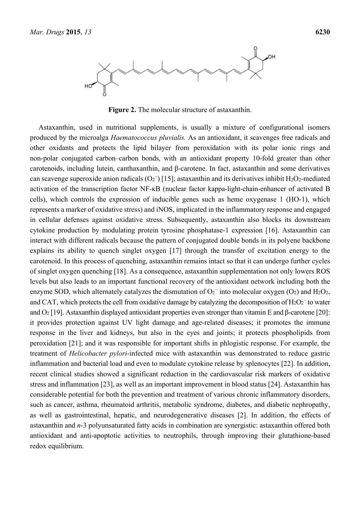

**Figure 2.** The molecular structure of astaxanthin.

Astaxanthin, used in nutritional supplements, is usually a mixture of configurational isomers produced by the microalga *Haematococcus pluvialis.* As an antioxidant, it scavenges free radicals and other oxidants and protects the lipid bilayer from peroxidation with its polar ionic rings and non-polar conjugated carbon–carbon bonds, with an antioxidant property 10-fold greater than other carotenoids, including lutein, canthaxanthin, and β-carotene. In fact, astaxanthin and some derivatives can scavenge superoxide anion radicals  $(O_2^-)$  [15]; astaxanthin and its derivatives inhibit H<sub>2</sub>O<sub>2</sub>-mediated activation of the transcription factor NF-κB (nuclear factor kappa-light-chain-enhancer of activated B cells), which controls the expression of inducible genes such as heme oxygenase 1 (HO-1), which represents a marker of oxidative stress) and iNOS, implicated in the inflammatory response and engaged in cellular defenses against oxidative stress. Subsequently, astaxanthin also blocks its downstream cytokine production by modulating protein tyrosine phosphatase-1 expression [16]. Astaxanthin can interact with different radicals because the pattern of conjugated double bonds in its polyene backbone explains its ability to quench singlet oxygen [17] through the transfer of excitation energy to the carotenoid. In this process of quenching, astaxanthin remains intact so that it can undergo further cycles of singlet oxygen quenching [18]. As a consequence, astaxanthin supplementation not only lowers ROS levels but also leads to an important functional recovery of the antioxidant network including both the enzyme SOD, which alternately catalyzes the dismutation of  $O_2^-$  into molecular oxygen (O2) and H<sub>2</sub>O<sub>2</sub>, and CAT, which protects the cell from oxidative damage by catalyzing the decomposition of  $H_2O_2^-$  to water and O2 [19]. Astaxanthin displayed antioxidant properties even stronger than vitamin E and β-carotene [20]: it provides protection against UV light damage and age-related diseases; it promotes the immune response in the liver and kidneys, but also in the eyes and joints; it protects phospholipids from peroxidation [21]; and it was responsible for important shifts in phlogistic response. For example, the treatment of *Helicobacter pylori*-infected mice with astaxanthin was demonstrated to reduce gastric inflammation and bacterial load and even to modulate cytokine release by splenocytes [22]. In addition, recent clinical studies showed a significant reduction in the cardiovascular risk markers of oxidative stress and inflammation [23], as well as an important improvement in blood status [24]. Astaxanthin has considerable potential for both the prevention and treatment of various chronic inflammatory disorders, such as cancer, asthma, rheumatoid arthritis, metabolic syndrome, diabetes, and diabetic nephropathy, as well as gastrointestinal, hepatic, and neurodegenerative diseases [2]. In addition, the effects of astaxanthin and *n*-3 polyunsaturated fatty acids in combination are synergistic: astaxanthin offered both antioxidant and anti-apoptotic activities to neutrophils, through improving their glutathione-based redox equilibrium.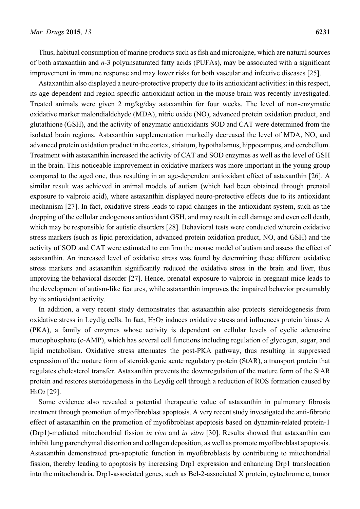Thus, habitual consumption of marine products such as fish and microalgae, which are natural sources of both astaxanthin and *n*-3 polyunsaturated fatty acids (PUFAs), may be associated with a significant improvement in immune response and may lower risks for both vascular and infective diseases [25].

Astaxanthin also displayed a neuro-protective property due to its antioxidant activities: in this respect, its age-dependent and region-specific antioxidant action in the mouse brain was recently investigated. Treated animals were given 2 mg/kg/day astaxanthin for four weeks. The level of non-enzymatic oxidative marker malondialdehyde (MDA), nitric oxide (NO), advanced protein oxidation product, and glutathione (GSH), and the activity of enzymatic antioxidants SOD and CAT were determined from the isolated brain regions. Astaxanthin supplementation markedly decreased the level of MDA, NO, and advanced protein oxidation product in the cortex, striatum, hypothalamus, hippocampus, and cerebellum. Treatment with astaxanthin increased the activity of CAT and SOD enzymes as well as the level of GSH in the brain. This noticeable improvement in oxidative markers was more important in the young group compared to the aged one, thus resulting in an age-dependent antioxidant effect of astaxanthin [26]. A similar result was achieved in animal models of autism (which had been obtained through prenatal exposure to valproic acid), where astaxanthin displayed neuro-protective effects due to its antioxidant mechanism [27]. In fact, oxidative stress leads to rapid changes in the antioxidant system, such as the dropping of the cellular endogenous antioxidant GSH, and may result in cell damage and even cell death, which may be responsible for autistic disorders [28]. Behavioral tests were conducted wherein oxidative stress markers (such as lipid peroxidation, advanced protein oxidation product, NO, and GSH) and the activity of SOD and CAT were estimated to confirm the mouse model of autism and assess the effect of astaxanthin. An increased level of oxidative stress was found by determining these different oxidative stress markers and astaxanthin significantly reduced the oxidative stress in the brain and liver, thus improving the behavioral disorder [27]. Hence, prenatal exposure to valproic in pregnant mice leads to the development of autism-like features, while astaxanthin improves the impaired behavior presumably by its antioxidant activity.

In addition, a very recent study demonstrates that astaxanthin also protects steroidogenesis from oxidative stress in Leydig cells. In fact,  $H_2O_2$  induces oxidative stress and influences protein kinase A (PKA), a family of enzymes whose activity is dependent on cellular levels of cyclic adenosine monophosphate (c-AMP), which has several cell functions including regulation of glycogen, sugar, and lipid metabolism. Oxidative stress attenuates the post-PKA pathway, thus resulting in suppressed expression of the mature form of steroidogenic acute regulatory protein (StAR), a transport protein that regulates cholesterol transfer. Astaxanthin prevents the downregulation of the mature form of the StAR protein and restores steroidogenesis in the Leydig cell through a reduction of ROS formation caused by H2O2 [29].

Some evidence also revealed a potential therapeutic value of astaxanthin in pulmonary fibrosis treatment through promotion of myofibroblast apoptosis. A very recent study investigated the anti-fibrotic effect of astaxanthin on the promotion of myofibroblast apoptosis based on dynamin-related protein-1 (Drp1)-mediated mitochondrial fission *in vivo* and *in vitro* [30]. Results showed that astaxanthin can inhibit lung parenchymal distortion and collagen deposition, as well as promote myofibroblast apoptosis. Astaxanthin demonstrated pro-apoptotic function in myofibroblasts by contributing to mitochondrial fission, thereby leading to apoptosis by increasing Drp1 expression and enhancing Drp1 translocation into the mitochondria. Drp1-associated genes, such as Bcl-2-associated X protein, cytochrome c, tumor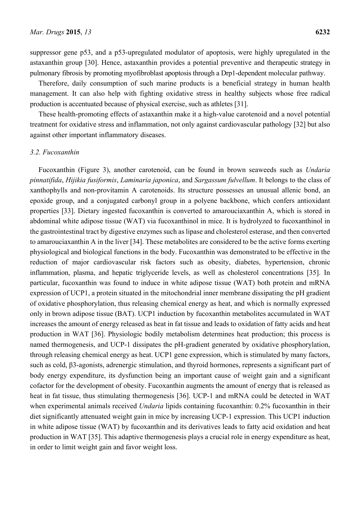suppressor gene p53, and a p53-upregulated modulator of apoptosis, were highly upregulated in the astaxanthin group [30]. Hence, astaxanthin provides a potential preventive and therapeutic strategy in pulmonary fibrosis by promoting myofibroblast apoptosis through a Drp1-dependent molecular pathway.

Therefore, daily consumption of such marine products is a beneficial strategy in human health management. It can also help with fighting oxidative stress in healthy subjects whose free radical production is accentuated because of physical exercise, such as athletes [31].

These health-promoting effects of astaxanthin make it a high-value carotenoid and a novel potential treatment for oxidative stress and inflammation, not only against cardiovascular pathology [32] but also against other important inflammatory diseases.

#### *3.2. Fucoxanthin*

Fucoxanthin (Figure 3), another carotenoid, can be found in brown seaweeds such as *Undaria pinnatifida*, *Hijikia fusiformis*, *Laminaria japonica*, and *Sargassum fulvellum*. It belongs to the class of xanthophylls and non-provitamin A carotenoids. Its structure possesses an unusual allenic bond, an epoxide group, and a conjugated carbonyl group in a polyene backbone, which confers antioxidant properties [33]. Dietary ingested fucoxanthin is converted to amarouciaxanthin A, which is stored in abdominal white adipose tissue (WAT) via fucoxanthinol in mice. It is hydrolyzed to fucoxanthinol in the gastrointestinal tract by digestive enzymes such as lipase and cholesterol esterase, and then converted to amarouciaxanthin A in the liver [34]. These metabolites are considered to be the active forms exerting physiological and biological functions in the body. Fucoxanthin was demonstrated to be effective in the reduction of major cardiovascular risk factors such as obesity, diabetes, hypertension, chronic inflammation, plasma, and hepatic triglyceride levels, as well as cholesterol concentrations [35]. In particular, fucoxanthin was found to induce in white adipose tissue (WAT) both protein and mRNA expression of UCP1, a protein situated in the mitochondrial inner membrane dissipating the pH gradient of oxidative phosphorylation, thus releasing chemical energy as heat, and which is normally expressed only in brown adipose tissue (BAT). UCP1 induction by fucoxanthin metabolites accumulated in WAT increases the amount of energy released as heat in fat tissue and leads to oxidation of fatty acids and heat production in WAT [36]. Physiologic bodily metabolism determines heat production; this process is named thermogenesis, and UCP-1 dissipates the pH-gradient generated by oxidative phosphorylation, through releasing chemical energy as heat. UCP1 gene expression, which is stimulated by many factors, such as cold, β3-agonists, adrenergic stimulation, and thyroid hormones, represents a significant part of body energy expenditure, its dysfunction being an important cause of weight gain and a significant cofactor for the development of obesity. Fucoxanthin augments the amount of energy that is released as heat in fat tissue, thus stimulating thermogenesis [36]. UCP-1 and mRNA could be detected in WAT when experimental animals received *Undaria* lipids containing fucoxanthin: 0.2% fucoxanthin in their diet significantly attenuated weight gain in mice by increasing UCP-1 expression. This UCP1 induction in white adipose tissue (WAT) by fucoxanthin and its derivatives leads to fatty acid oxidation and heat production in WAT [35]. This adaptive thermogenesis plays a crucial role in energy expenditure as heat, in order to limit weight gain and favor weight loss.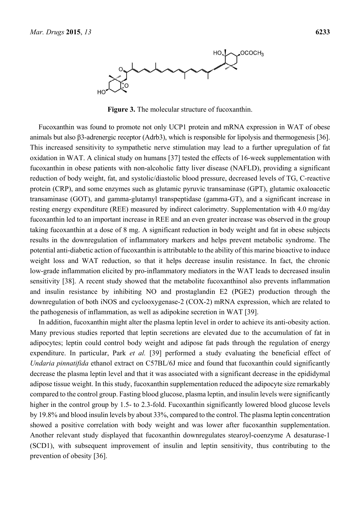

**Figure 3.** The molecular structure of fucoxanthin.

Fucoxanthin was found to promote not only UCP1 protein and mRNA expression in WAT of obese animals but also β3-adrenergic receptor (Adrb3), which is responsible for lipolysis and thermogenesis [36]. This increased sensitivity to sympathetic nerve stimulation may lead to a further upregulation of fat oxidation in WAT. A clinical study on humans [37] tested the effects of 16-week supplementation with fucoxanthin in obese patients with non-alcoholic fatty liver disease (NAFLD), providing a significant reduction of body weight, fat, and systolic/diastolic blood pressure, decreased levels of TG, C-reactive protein (CRP), and some enzymes such as glutamic pyruvic transaminase (GPT), glutamic oxaloacetic transaminase (GOT), and gamma-glutamyl transpeptidase (gamma-GT), and a significant increase in resting energy expenditure (REE) measured by indirect calorimetry. Supplementation with 4.0 mg/day fucoxanthin led to an important increase in REE and an even greater increase was observed in the group taking fucoxanthin at a dose of 8 mg. A significant reduction in body weight and fat in obese subjects results in the downregulation of inflammatory markers and helps prevent metabolic syndrome. The potential anti-diabetic action of fucoxanthin is attributable to the ability of this marine bioactive to induce weight loss and WAT reduction, so that it helps decrease insulin resistance. In fact, the chronic low-grade inflammation elicited by pro-inflammatory mediators in the WAT leads to decreased insulin sensitivity [38]. A recent study showed that the metabolite fucoxanthinol also prevents inflammation and insulin resistance by inhibiting NO and prostaglandin E2 (PGE2) production through the downregulation of both iNOS and cyclooxygenase-2 (COX-2) mRNA expression, which are related to the pathogenesis of inflammation, as well as adipokine secretion in WAT [39].

In addition, fucoxanthin might alter the plasma leptin level in order to achieve its anti-obesity action. Many previous studies reported that leptin secretions are elevated due to the accumulation of fat in adipocytes; leptin could control body weight and adipose fat pads through the regulation of energy expenditure. In particular, Park *et al.* [39] performed a study evaluating the beneficial effect of *Undaria pinnatifida* ethanol extract on C57BL/6J mice and found that fucoxanthin could significantly decrease the plasma leptin level and that it was associated with a significant decrease in the epididymal adipose tissue weight. In this study, fucoxanthin supplementation reduced the adipocyte size remarkably compared to the control group. Fasting blood glucose, plasma leptin, and insulin levels were significantly higher in the control group by 1.5- to 2.3-fold. Fucoxanthin significantly lowered blood glucose levels by 19.8% and blood insulin levels by about 33%, compared to the control. The plasma leptin concentration showed a positive correlation with body weight and was lower after fucoxanthin supplementation. Another relevant study displayed that fucoxanthin downregulates stearoyl-coenzyme A desaturase-1 (SCD1), with subsequent improvement of insulin and leptin sensitivity, thus contributing to the prevention of obesity [36].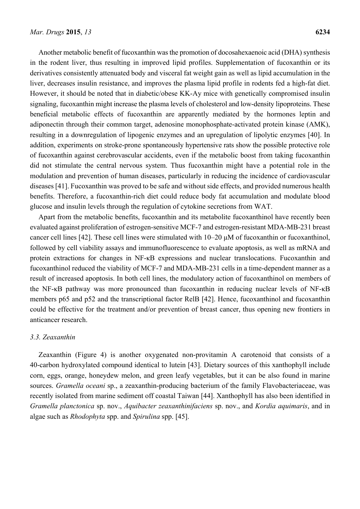Another metabolic benefit of fucoxanthin was the promotion of docosahexaenoic acid (DHA) synthesis in the rodent liver, thus resulting in improved lipid profiles. Supplementation of fucoxanthin or its derivatives consistently attenuated body and visceral fat weight gain as well as lipid accumulation in the liver, decreases insulin resistance, and improves the plasma lipid profile in rodents fed a high-fat diet. However, it should be noted that in diabetic/obese KK-Ay mice with genetically compromised insulin signaling, fucoxanthin might increase the plasma levels of cholesterol and low-density lipoproteins. These beneficial metabolic effects of fucoxanthin are apparently mediated by the hormones leptin and adiponectin through their common target, adenosine monophosphate-activated protein kinase (AMK), resulting in a downregulation of lipogenic enzymes and an upregulation of lipolytic enzymes [40]. In addition, experiments on stroke-prone spontaneously hypertensive rats show the possible protective role of fucoxanthin against cerebrovascular accidents, even if the metabolic boost from taking fucoxanthin did not stimulate the central nervous system. Thus fucoxanthin might have a potential role in the modulation and prevention of human diseases, particularly in reducing the incidence of cardiovascular diseases [41]. Fucoxanthin was proved to be safe and without side effects, and provided numerous health benefits. Therefore, a fucoxanthin-rich diet could reduce body fat accumulation and modulate blood glucose and insulin levels through the regulation of cytokine secretions from WAT.

Apart from the metabolic benefits, fucoxanthin and its metabolite fucoxanthinol have recently been evaluated against proliferation of estrogen-sensitive MCF-7 and estrogen-resistant MDA-MB-231 breast cancer cell lines [42]. These cell lines were stimulated with 10–20 μM of fucoxanthin or fucoxanthinol, followed by cell viability assays and immunofluorescence to evaluate apoptosis, as well as mRNA and protein extractions for changes in NF-κB expressions and nuclear translocations. Fucoxanthin and fucoxanthinol reduced the viability of MCF-7 and MDA-MB-231 cells in a time-dependent manner as a result of increased apoptosis. In both cell lines, the modulatory action of fucoxanthinol on members of the NF-κB pathway was more pronounced than fucoxanthin in reducing nuclear levels of NF-κB members p65 and p52 and the transcriptional factor RelB [42]. Hence, fucoxanthinol and fucoxanthin could be effective for the treatment and/or prevention of breast cancer, thus opening new frontiers in anticancer research.

#### *3.3. Zeaxanthin*

Zeaxanthin (Figure 4) is another oxygenated non-provitamin A carotenoid that consists of a 40-carbon hydroxylated compound identical to lutein [43]. Dietary sources of this xanthophyll include corn, eggs, orange, honeydew melon, and green leafy vegetables, but it can be also found in marine sources. *Gramella oceani* sp., a zeaxanthin-producing bacterium of the family Flavobacteriaceae, was recently isolated from marine sediment off coastal Taiwan [44]. Xanthophyll has also been identified in *Gramella planctonica* sp. nov., *Aquibacter zeaxanthinifaciens* sp. nov., and *Kordia aquimaris*, and in algae such as *Rhodophyta* spp. and *Spirulina* spp. [45].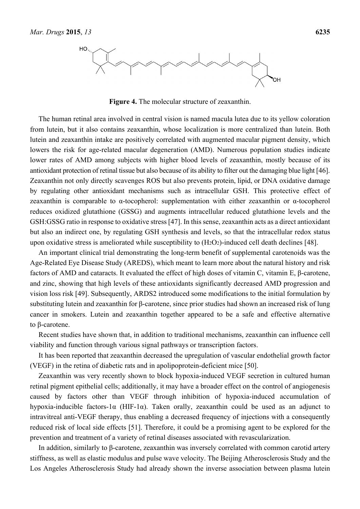

**Figure 4.** The molecular structure of zeaxanthin.

The human retinal area involved in central vision is named macula lutea due to its yellow coloration from lutein, but it also contains zeaxanthin, whose localization is more centralized than lutein. Both lutein and zeaxanthin intake are positively correlated with augmented macular pigment density, which lowers the risk for age-related macular degeneration (AMD). Numerous population studies indicate lower rates of AMD among subjects with higher blood levels of zeaxanthin, mostly because of its antioxidant protection of retinal tissue but also because of its ability to filter out the damaging blue light [46]. Zeaxanthin not only directly scavenges ROS but also prevents protein, lipid, or DNA oxidative damage by regulating other antioxidant mechanisms such as intracellular GSH. This protective effect of zeaxanthin is comparable to α-tocopherol: supplementation with either zeaxanthin or α-tocopherol reduces oxidized glutathione (GSSG) and augments intracellular reduced glutathione levels and the GSH:GSSG ratio in response to oxidative stress [47]. In this sense, zeaxanthin acts as a direct antioxidant but also an indirect one, by regulating GSH synthesis and levels, so that the intracellular redox status upon oxidative stress is ameliorated while susceptibility to  $(H_2O_2)$ -induced cell death declines [48].

An important clinical trial demonstrating the long-term benefit of supplemental carotenoids was the Age-Related Eye Disease Study (AREDS), which meant to learn more about the natural history and risk factors of AMD and cataracts. It evaluated the effect of high doses of vitamin C, vitamin E, β-carotene, and zinc, showing that high levels of these antioxidants significantly decreased AMD progression and vision loss risk [49]. Subsequently, ARDS2 introduced some modifications to the initial formulation by substituting lutein and zeaxanthin for β-carotene, since prior studies had shown an increased risk of lung cancer in smokers. Lutein and zeaxanthin together appeared to be a safe and effective alternative to β-carotene.

Recent studies have shown that, in addition to traditional mechanisms, zeaxanthin can influence cell viability and function through various signal pathways or transcription factors.

It has been reported that zeaxanthin decreased the upregulation of vascular endothelial growth factor (VEGF) in the retina of diabetic rats and in apolipoprotein-deficient mice [50].

Zeaxanthin was very recently shown to block hypoxia-induced VEGF secretion in cultured human retinal pigment epithelial cells; additionally, it may have a broader effect on the control of angiogenesis caused by factors other than VEGF through inhibition of hypoxia-induced accumulation of hypoxia-inducible factors-1 $\alpha$  (HIF-1 $\alpha$ ). Taken orally, zeaxanthin could be used as an adjunct to intravitreal anti-VEGF therapy, thus enabling a decreased frequency of injections with a consequently reduced risk of local side effects [51]. Therefore, it could be a promising agent to be explored for the prevention and treatment of a variety of retinal diseases associated with revascularization.

In addition, similarly to β-carotene, zeaxanthin was inversely correlated with common carotid artery stiffness, as well as elastic modulus and pulse wave velocity. The Beijing Atherosclerosis Study and the Los Angeles Atherosclerosis Study had already shown the inverse association between plasma lutein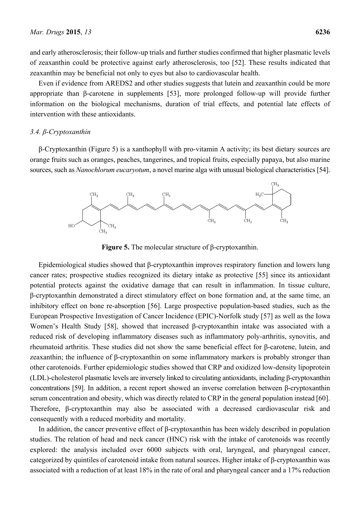and early atherosclerosis; their follow-up trials and further studies confirmed that higher plasmatic levels of zeaxanthin could be protective against early atherosclerosis, too [52]. These results indicated that zeaxanthin may be beneficial not only to eyes but also to cardiovascular health.

Even if evidence from AREDS2 and other studies suggests that lutein and zeaxanthin could be more appropriate than β-carotene in supplements [53], more prolonged follow-up will provide further information on the biological mechanisms, duration of trial effects, and potential late effects of intervention with these antioxidants.

#### *3.4. β-Cryptoxanthin*

β-Cryptoxanthin (Figure 5) is a xanthophyll with pro-vitamin A activity; its best dietary sources are orange fruits such as oranges, peaches, tangerines, and tropical fruits, especially papaya, but also marine sources, such as *Nanochlorum eucaryotum*, a novel marine alga with unusual biological characteristics [54].



**Figure 5.** The molecular structure of β-cryptoxanthin.

Epidemiological studies showed that β-cryptoxanthin improves respiratory function and lowers lung cancer rates; prospective studies recognized its dietary intake as protective [55] since its antioxidant potential protects against the oxidative damage that can result in inflammation. In tissue culture, β-cryptoxanthin demonstrated a direct stimulatory effect on bone formation and, at the same time, an inhibitory effect on bone re-absorption [56]. Large prospective population-based studies, such as the European Prospective Investigation of Cancer Incidence (EPIC)-Norfolk study [57] as well as the Iowa Women's Health Study [58], showed that increased β-cryptoxanthin intake was associated with a reduced risk of developing inflammatory diseases such as inflammatory poly-arthritis, synovitis, and rheumatoid arthritis. These studies did not show the same beneficial effect for β-carotene, lutein, and zeaxanthin; the influence of β-cryptoxanthin on some inflammatory markers is probably stronger than other carotenoids. Further epidemiologic studies showed that CRP and oxidized low-density lipoprotein (LDL)-cholesterol plasmatic levels are inversely linked to circulating antioxidants, including β-cryptoxanthin concentrations [59]. In addition, a recent report showed an inverse correlation between β-cryptoxanthin serum concentration and obesity, which was directly related to CRP in the general population instead [60]. Therefore, β-cryptoxanthin may also be associated with a decreased cardiovascular risk and consequently with a reduced morbidity and mortality.

In addition, the cancer preventive effect of β-cryptoxanthin has been widely described in population studies. The relation of head and neck cancer (HNC) risk with the intake of carotenoids was recently explored: the analysis included over 6000 subjects with oral, laryngeal, and pharyngeal cancer, categorized by quintiles of carotenoid intake from natural sources. Higher intake of β-cryptoxanthin was associated with a reduction of at least 18% in the rate of oral and pharyngeal cancer and a 17% reduction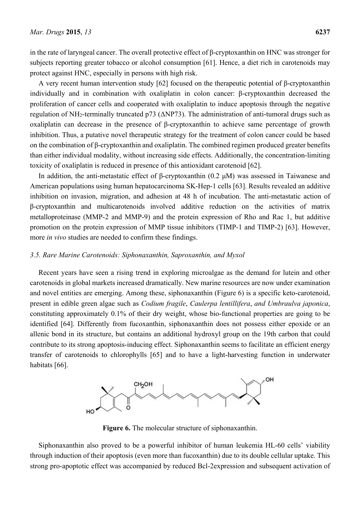in the rate of laryngeal cancer. The overall protective effect of β-cryptoxanthin on HNC was stronger for subjects reporting greater tobacco or alcohol consumption [61]. Hence, a diet rich in carotenoids may protect against HNC, especially in persons with high risk.

A very recent human intervention study [62] focused on the therapeutic potential of β-cryptoxanthin individually and in combination with oxaliplatin in colon cancer: β-cryptoxanthin decreased the proliferation of cancer cells and cooperated with oxaliplatin to induce apoptosis through the negative regulation of NH2-terminally truncated p73 (ΔNP73). The administration of anti-tumoral drugs such as oxaliplatin can decrease in the presence of β-cryptoxanthin to achieve same percentage of growth inhibition. Thus, a putative novel therapeutic strategy for the treatment of colon cancer could be based on the combination of β-cryptoxanthin and oxaliplatin. The combined regimen produced greater benefits than either individual modality, without increasing side effects. Additionally, the concentration-limiting toxicity of oxaliplatin is reduced in presence of this antioxidant carotenoid [62].

In addition, the anti-metastatic effect of β-cryptoxanthin (0.2 μM) was assessed in Taiwanese and American populations using human hepatocarcinoma SK-Hep-1 cells [63]. Results revealed an additive inhibition on invasion, migration, and adhesion at 48 h of incubation. The anti-metastatic action of β-cryptoxanthin and multicarotenoids involved additive reduction on the activities of matrix metalloproteinase (MMP-2 and MMP-9) and the protein expression of Rho and Rac 1, but additive promotion on the protein expression of MMP tissue inhibitors (TIMP-1 and TIMP-2) [63]. However, more *in vivo* studies are needed to confirm these findings.

## *3.5. Rare Marine Carotenoids: Siphonaxanthin, Saproxanthin, and Myxol*

Recent years have seen a rising trend in exploring microalgae as the demand for lutein and other carotenoids in global markets increased dramatically. New marine resources are now under examination and novel entities are emerging. Among these, siphonaxanthin (Figure 6) is a specific keto-carotenoid, present in edible green algae such as *Codium fragile*, *Caulerpa lentillifera*, *and Umbraulva japonica*, constituting approximately 0.1% of their dry weight, whose bio-functional properties are going to be identified [64]. Differently from fucoxanthin, siphonaxanthin does not possess either epoxide or an allenic bond in its structure, but contains an additional hydroxyl group on the 19th carbon that could contribute to its strong apoptosis-inducing effect. Siphonaxanthin seems to facilitate an efficient energy transfer of carotenoids to chlorophylls [65] and to have a light-harvesting function in underwater habitats [66].



**Figure 6.** The molecular structure of siphonaxanthin.

Siphonaxanthin also proved to be a powerful inhibitor of human leukemia HL-60 cells' viability through induction of their apoptosis (even more than fucoxanthin) due to its double cellular uptake. This strong pro-apoptotic effect was accompanied by reduced Bcl-2expression and subsequent activation of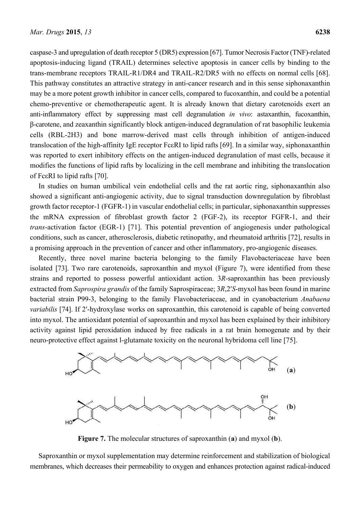caspase-3 and upregulation of death receptor 5 (DR5) expression [67]. Tumor Necrosis Factor (TNF)-related apoptosis-inducing ligand (TRAIL) determines selective apoptosis in cancer cells by binding to the trans-membrane receptors TRAIL-R1/DR4 and TRAIL-R2/DR5 with no effects on normal cells [68]. This pathway constitutes an attractive strategy in anti-cancer research and in this sense siphonaxanthin may be a more potent growth inhibitor in cancer cells, compared to fucoxanthin, and could be a potential chemo-preventive or chemotherapeutic agent. It is already known that dietary carotenoids exert an anti-inflammatory effect by suppressing mast cell degranulation *in vivo*: astaxanthin, fucoxanthin, β-carotene, and zeaxanthin significantly block antigen-induced degranulation of rat basophilic leukemia cells (RBL-2H3) and bone marrow-derived mast cells through inhibition of antigen-induced translocation of the high-affinity IgE receptor FcεRI to lipid rafts [69]. In a similar way, siphonaxanthin was reported to exert inhibitory effects on the antigen-induced degranulation of mast cells, because it modifies the functions of lipid rafts by localizing in the cell membrane and inhibiting the translocation of FcεRI to lipid rafts [70].

In studies on human umbilical vein endothelial cells and the rat aortic ring, siphonaxanthin also showed a significant anti-angiogenic activity, due to signal transduction downregulation by fibroblast growth factor receptor-1 (FGFR-1) in vascular endothelial cells; in particular, siphonaxanthin suppresses the mRNA expression of fibroblast growth factor 2 (FGF-2), its receptor FGFR-1, and their *trans*-activation factor (EGR-1) [71]. This potential prevention of angiogenesis under pathological conditions, such as cancer, atherosclerosis, diabetic retinopathy, and rheumatoid arthritis [72], results in a promising approach in the prevention of cancer and other inflammatory, pro-angiogenic diseases.

Recently, three novel marine bacteria belonging to the family Flavobacteriaceae have been isolated [73]. Two rare carotenoids, saproxanthin and myxol (Figure 7), were identified from these strains and reported to possess powerful antioxidant action. 3*R*-saproxanthin has been previously extracted from *Saprospira grandis* of the family Saprospiraceae; 3*R*,2′*S*-myxol has been found in marine bacterial strain P99-3, belonging to the family Flavobacteriaceae, and in cyanobacterium *Anabaena variabilis* [74]. If 2′-hydroxylase works on saproxanthin, this carotenoid is capable of being converted into myxol. The antioxidant potential of saproxanthin and myxol has been explained by their inhibitory activity against lipid peroxidation induced by free radicals in a rat brain homogenate and by their neuro-protective effect against l-glutamate toxicity on the neuronal hybridoma cell line [75].



**Figure 7.** The molecular structures of saproxanthin (**a**) and myxol (**b**).

Saproxanthin or myxol supplementation may determine reinforcement and stabilization of biological membranes, which decreases their permeability to oxygen and enhances protection against radical-induced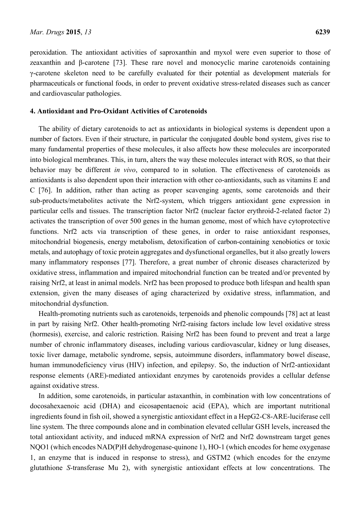peroxidation. The antioxidant activities of saproxanthin and myxol were even superior to those of zeaxanthin and β-carotene [73]. These rare novel and monocyclic marine carotenoids containing γ-carotene skeleton need to be carefully evaluated for their potential as development materials for pharmaceuticals or functional foods, in order to prevent oxidative stress-related diseases such as cancer and cardiovascular pathologies.

## **4. Antioxidant and Pro-Oxidant Activities of Carotenoids**

The ability of dietary carotenoids to act as antioxidants in biological systems is dependent upon a number of factors. Even if their structure, in particular the conjugated double bond system, gives rise to many fundamental properties of these molecules, it also affects how these molecules are incorporated into biological membranes. This, in turn, alters the way these molecules interact with ROS, so that their behavior may be different *in vivo*, compared to in solution. The effectiveness of carotenoids as antioxidants is also dependent upon their interaction with other co-antioxidants, such as vitamins E and C [76]. In addition, rather than acting as proper scavenging agents, some carotenoids and their sub-products/metabolites activate the Nrf2-system, which triggers antioxidant gene expression in particular cells and tissues. The transcription factor Nrf2 (nuclear factor erythroid-2-related factor 2) activates the transcription of over 500 genes in the human genome, most of which have cytoprotective functions. Nrf2 acts via transcription of these genes, in order to raise antioxidant responses, mitochondrial biogenesis, energy metabolism, detoxification of carbon-containing xenobiotics or toxic metals, and autophagy of toxic protein aggregates and dysfunctional organelles, but it also greatly lowers many inflammatory responses [77]. Therefore, a great number of chronic diseases characterized by oxidative stress, inflammation and impaired mitochondrial function can be treated and/or prevented by raising Nrf2, at least in animal models. Nrf2 has been proposed to produce both lifespan and health span extension, given the many diseases of aging characterized by oxidative stress, inflammation, and mitochondrial dysfunction.

Health-promoting nutrients such as carotenoids, terpenoids and phenolic compounds [78] act at least in part by raising Nrf2. Other health-promoting Nrf2-raising factors include low level oxidative stress (hormesis), exercise, and caloric restriction. Raising Nrf2 has been found to prevent and treat a large number of chronic inflammatory diseases, including various cardiovascular, kidney or lung diseases, toxic liver damage, metabolic syndrome, sepsis, autoimmune disorders, inflammatory bowel disease, human immunodeficiency virus (HIV) infection, and epilepsy. So, the induction of Nrf2-antioxidant response elements (ARE)-mediated antioxidant enzymes by carotenoids provides a cellular defense against oxidative stress.

In addition, some carotenoids, in particular astaxanthin, in combination with low concentrations of docosahexaenoic acid (DHA) and eicosapentaenoic acid (EPA), which are important nutritional ingredients found in fish oil, showed a synergistic antioxidant effect in a HepG2-C8-ARE-luciferase cell line system. The three compounds alone and in combination elevated cellular GSH levels, increased the total antioxidant activity, and induced mRNA expression of Nrf2 and Nrf2 downstream target genes NQO1 (which encodes NAD(P)H dehydrogenase-quinone 1), HO-1 (which encodes for heme oxygenase 1, an enzyme that is induced in response to stress), and GSTM2 (which encodes for the enzyme glutathione *S*-transferase Mu 2), with synergistic antioxidant effects at low concentrations. The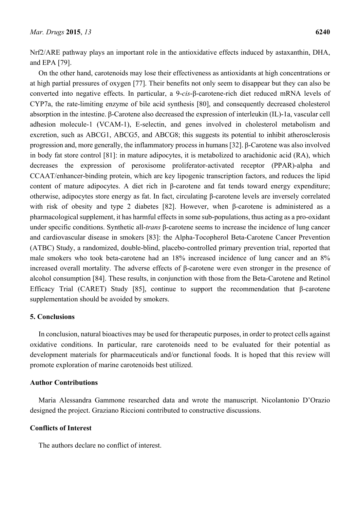Nrf2/ARE pathway plays an important role in the antioxidative effects induced by astaxanthin, DHA, and EPA [79].

On the other hand, carotenoids may lose their effectiveness as antioxidants at high concentrations or at high partial pressures of oxygen [77]. Their benefits not only seem to disappear but they can also be converted into negative effects. In particular, a 9-*cis*-β-carotene-rich diet reduced mRNA levels of CYP7a, the rate-limiting enzyme of bile acid synthesis [80], and consequently decreased cholesterol absorption in the intestine. β-Carotene also decreased the expression of interleukin (IL)-1a, vascular cell adhesion molecule-1 (VCAM-1), E-selectin, and genes involved in cholesterol metabolism and excretion, such as ABCG1, ABCG5, and ABCG8; this suggests its potential to inhibit atherosclerosis progression and, more generally, the inflammatory process in humans [32]. β-Carotene was also involved in body fat store control [81]: in mature adipocytes, it is metabolized to arachidonic acid (RA), which decreases the expression of peroxisome proliferator-activated receptor (PPAR)-alpha and CCAAT/enhancer-binding protein, which are key lipogenic transcription factors, and reduces the lipid content of mature adipocytes. A diet rich in β-carotene and fat tends toward energy expenditure; otherwise, adipocytes store energy as fat. In fact, circulating β-carotene levels are inversely correlated with risk of obesity and type 2 diabetes [82]. However, when β-carotene is administered as a pharmacological supplement, it has harmful effects in some sub-populations, thus acting as a pro-oxidant under specific conditions. Synthetic all-*trans* β-carotene seems to increase the incidence of lung cancer and cardiovascular disease in smokers [83]: the Alpha-Tocopherol Beta-Carotene Cancer Prevention (ATBC) Study, a randomized, double-blind, placebo-controlled primary prevention trial, reported that male smokers who took beta-carotene had an 18% increased incidence of lung cancer and an 8% increased overall mortality. The adverse effects of β-carotene were even stronger in the presence of alcohol consumption [84]. These results, in conjunction with those from the Beta-Carotene and Retinol Efficacy Trial (CARET) Study [85], continue to support the recommendation that β-carotene supplementation should be avoided by smokers.

## **5. Conclusions**

In conclusion, natural bioactives may be used for therapeutic purposes, in order to protect cells against oxidative conditions. In particular, rare carotenoids need to be evaluated for their potential as development materials for pharmaceuticals and/or functional foods. It is hoped that this review will promote exploration of marine carotenoids best utilized.

## **Author Contributions**

Maria Alessandra Gammone researched data and wrote the manuscript. Nicolantonio D'Orazio designed the project. Graziano Riccioni contributed to constructive discussions.

#### **Conflicts of Interest**

The authors declare no conflict of interest.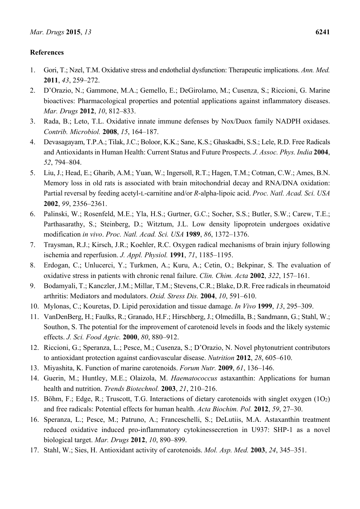## **References**

- 1. Gori, T.; Nzel, T.M. Oxidative stress and endothelial dysfunction: Therapeutic implications. *Ann. Med.* **2011**, *43*, 259–272.
- 2. D'Orazio, N.; Gammone, M.A.; Gemello, E.; DeGirolamo, M.; Cusenza, S.; Riccioni, G. Marine bioactives: Pharmacological properties and potential applications against inflammatory diseases. *Mar. Drugs* **2012**, *10*, 812–833.
- 3. Rada, B.; Leto, T.L. Oxidative innate immune defenses by Nox/Duox family NADPH oxidases. *Contrib. Microbiol.* **2008**, *15*, 164–187.
- 4. Devasagayam, T.P.A.; Tilak, J.C.; Boloor, K.K.; Sane, K.S.; Ghaskadbi, S.S.; Lele, R.D. Free Radicals and Antioxidants in Human Health: Current Status and Future Prospects. *J. Assoc. Phys. India* **2004**, *52*, 794–804.
- 5. Liu, J.; Head, E.; Gharib, A.M.; Yuan, W.; Ingersoll, R.T.; Hagen, T.M.; Cotman, C.W.; Ames, B.N. Memory loss in old rats is associated with brain mitochondrial decay and RNA/DNA oxidation: Partial reversal by feeding acetyl-L-carnitine and/or *R*-alpha-lipoic acid. *Proc. Natl. Acad. Sci. USA*  **2002**, *99*, 2356–2361.
- 6. Palinski, W.; Rosenfeld, M.E.; Yla, H.S.; Gurtner, G.C.; Socher, S.S.; Butler, S.W.; Carew, T.E.; Parthasarathy, S.; Steinberg, D.; Witztum, J.L. Low density lipoprotein undergoes oxidative modification *in vivo*. *Proc. Natl. Acad. Sci. USA* **1989**, *86*, 1372–1376.
- 7. Traysman, R.J.; Kirsch, J.R.; Koehler, R.C. Oxygen radical mechanisms of brain injury following ischemia and reperfusion. *J. Appl. Physiol.* **1991**, *71*, 1185–1195.
- 8. Erdogan, C.; Unlucerci, Y.; Turkmen, A.; Kuru, A.; Cetin, O.; Bekpinar, S. The evaluation of oxidative stress in patients with chronic renal failure. *Clin. Chim. Acta* **2002**, *322*, 157–161.
- 9. Bodamyali, T.; Kanczler, J.M.; Millar, T.M.; Stevens, C.R.; Blake, D.R. Free radicals in rheumatoid arthritis: Mediators and modulators. *Oxid. Stress Dis.* **2004**, *10*, 591–610.
- 10. Mylonas, C.; Kouretas, D. Lipid peroxidation and tissue damage. *In Vivo* **1999**, *13*, 295–309.
- 11. VanDenBerg, H.; Faulks, R.; Granado, H.F.; Hirschberg, J.; Olmedilla, B.; Sandmann, G.; Stahl, W.; Southon, S. The potential for the improvement of carotenoid levels in foods and the likely systemic effects. *J. Sci. Food Agric.* **2000**, *80*, 880–912.
- 12. Riccioni, G.; Speranza, L.; Pesce, M.; Cusenza, S.; D'Orazio, N. Novel phytonutrient contributors to antioxidant protection against cardiovascular disease. *Nutrition* **2012**, *28*, 605–610.
- 13. Miyashita, K. Function of marine carotenoids. *Forum Nutr.* **2009**, *61*, 136–146.
- 14. Guerin, M.; Huntley, M.E.; Olaizola, M. *Haematococcus* astaxanthin: Applications for human health and nutrition. *Trends Biotechnol.* **2003**, *21*, 210–216.
- 15. Böhm, F.; Edge, R.; Truscott, T.G. Interactions of dietary carotenoids with singlet oxygen (1O2) and free radicals: Potential effects for human health. *Acta Biochim. Pol.* **2012**, *59*, 27–30.
- 16. Speranza, L.; Pesce, M.; Patruno, A.; Franceschelli, S.; DeLutiis, M.A. Astaxanthin treatment reduced oxidative induced pro-inflammatory cytokinessecretion in U937: SHP-1 as a novel biological target. *Mar. Drugs* **2012**, *10*, 890–899.
- 17. Stahl, W.; Sies, H. Antioxidant activity of carotenoids. *Mol. Asp. Med.* **2003**, *24*, 345–351.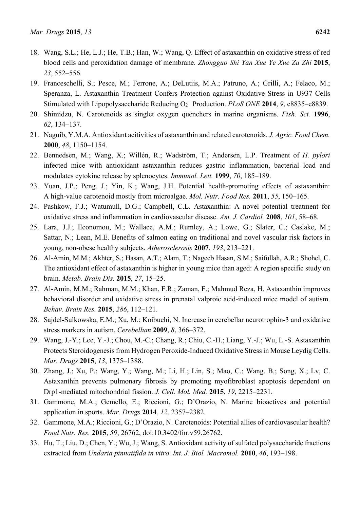- 18. Wang, S.L.; He, L.J.; He, T.B.; Han, W.; Wang, Q. Effect of astaxanthin on oxidative stress of red blood cells and peroxidation damage of membrane. *Zhongguo Shi Yan Xue Ye Xue Za Zhi* **2015**, *23*, 552–556.
- 19. Franceschelli, S.; Pesce, M.; Ferrone, A.; DeLutiis, M.A.; Patruno, A.; Grilli, A.; Felaco, M.; Speranza, L. Astaxanthin Treatment Confers Protection against Oxidative Stress in U937 Cells Stimulated with Lipopolysaccharide Reducing O<sub>2</sub><sup>−</sup> Production. *PLoS ONE* 2014, 9, e8835–e8839.
- 20. Shimidzu, N. Carotenoids as singlet oxygen quenchers in marine organisms. *Fish. Sci.* **1996**, *62*, 134–137.
- 21. Naguib, Y.M.A. Antioxidant acitivities of astaxanthin and related carotenoids. *J. Agric. Food Chem.*  **2000**, *48*, 1150–1154.
- 22. Bennedsen, M.; Wang, X.; Willén, R.; Wadström, T.; Andersen, L.P. Treatment of *H. pylori* infected mice with antioxidant astaxanthin reduces gastric inflammation, bacterial load and modulates cytokine release by splenocytes. *Immunol. Lett.* **1999**, *70*, 185–189.
- 23. Yuan, J.P.; Peng, J.; Yin, K.; Wang, J.H. Potential health-promoting effects of astaxanthin: A high-value carotenoid mostly from microalgae. *Mol. Nutr. Food Res.* **2011**, *55*, 150–165.
- 24. Pashkow, F.J.; Watumull, D.G.; Campbell, C.L. Astaxanthin: A novel potential treatment for oxidative stress and inflammation in cardiovascular disease. *Am. J. Cardiol.* **2008**, *101*, 58–68.
- 25. Lara, J.J.; Economou, M.; Wallace, A.M.; Rumley, A.; Lowe, G.; Slater, C.; Caslake, M.; Sattar, N.; Lean, M.E. Benefits of salmon eating on traditional and novel vascular risk factors in young, non-obese healthy subjects. *Atherosclerosis* **2007**, *193*, 213–221.
- 26. Al-Amin, M.M.; Akhter, S.; Hasan, A.T.; Alam, T.; Nageeb Hasan, S.M.; Saifullah, A.R.; Shohel, C. The antioxidant effect of astaxanthin is higher in young mice than aged: A region specific study on brain. *Metab. Brain Dis.* **2015**, *27*, 15–25.
- 27. Al-Amin, M.M.; Rahman, M.M.; Khan, F.R.; Zaman, F.; Mahmud Reza, H. Astaxanthin improves behavioral disorder and oxidative stress in prenatal valproic acid-induced mice model of autism. *Behav. Brain Res.* **2015**, *286*, 112–121.
- 28. Sajdel-Sulkowska, E.M.; Xu, M.; Koibuchi, N. Increase in cerebellar neurotrophin-3 and oxidative stress markers in autism. *Cerebellum* **2009**, *8*, 366–372.
- 29. Wang, J.-Y.; Lee, Y.-J.; Chou, M.-C.; Chang, R.; Chiu, C.-H.; Liang, Y.-J.; Wu, L.-S. Astaxanthin Protects Steroidogenesis from Hydrogen Peroxide-Induced Oxidative Stress in Mouse Leydig Cells. *Mar. Drugs* **2015**, *13*, 1375–1388.
- 30. Zhang, J.; Xu, P.; Wang, Y.; Wang, M.; Li, H.; Lin, S.; Mao, C.; Wang, B.; Song, X.; Lv, C. Astaxanthin prevents pulmonary fibrosis by promoting myofibroblast apoptosis dependent on Drp1-mediated mitochondrial fission. *J. Cell. Mol. Med.* **2015**, *19*, 2215–2231.
- 31. Gammone, M.A.; Gemello, E.; Riccioni, G.; D'Orazio, N. Marine bioactives and potential application in sports. *Mar. Drugs* **2014**, *12*, 2357–2382.
- 32. Gammone, M.A.; Riccioni, G.; D'Orazio, N. Carotenoids: Potential allies of cardiovascular health? *Food Nutr. Res.* **2015**, *59*, 26762, doi:10.3402/fnr.v59.26762.
- 33. Hu, T.; Liu, D.; Chen, Y.; Wu, J.; Wang, S. Antioxidant activity of sulfated polysaccharide fractions extracted from *Undaria pinnatifida in vitro*. *Int. J. Biol. Macromol.* **2010**, *46*, 193–198.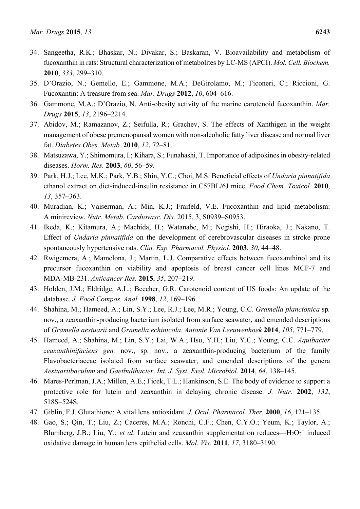- 34. Sangeetha, R.K.; Bhaskar, N.; Divakar, S.; Baskaran, V. Bioavailability and metabolism of fucoxanthin in rats: Structural characterization of metabolites by LC-MS (APCI). *Mol. Cell. Biochem.*  **2010**, *333*, 299–310.
- 35. D'Orazio, N.; Gemello, E.; Gammone, M.A.; DeGirolamo, M.; Ficoneri, C.; Riccioni, G. Fucoxantin: A treasure from sea. *Mar. Drugs* **2012**, *10*, 604–616.
- 36. Gammone, M.A.; D'Orazio, N. Anti-obesity activity of the marine carotenoid fucoxanthin. *Mar. Drugs* **2015**, *13*, 2196–2214.
- 37. Abidov, M.; Ramazanov, Z.; Seifulla, R.; Grachev, S. The effects of Xanthigen in the weight management of obese premenopausal women with non-alcoholic fatty liver disease and normal liver fat. *Diabetes Obes. Metab.* **2010**, *12*, 72–81.
- 38. Matsuzawa, Y.; Shimomura, I.; Kihara, S.; Funahashi, T. Importance of adipokines in obesity-related diseases. *Horm. Res.* **2003**, *60*, 56–59.
- 39. Park, H.J.; Lee, M.K.; Park, Y.B.; Shin, Y.C.; Choi, M.S. Beneficial effects of *Undaria pinnatifida* ethanol extract on diet-induced-insulin resistance in C57BL/6J mice. *Food Chem. Toxicol.* **2010**, *13*, 357–363.
- 40. Muradian, K.; Vaiserman, A.; Min, K.J.; Fraifeld, V.E. Fucoxanthin and lipid metabolism: A minireview. *Nutr. Metab. Cardiovasc. Dis.* 2015, 3, S0939–S0953.
- 41. Ikeda, K.; Kitamura, A.; Machida, H.; Watanabe, M.; Negishi, H.; Hiraoka, J.; Nakano, T. Effect of *Undaria pinnatifida* on the development of cerebrovascular diseases in stroke prone spontaneously hypertensive rats. *Clin. Exp. Pharmacol. Physiol.* **2003**, *30*, 44–48.
- 42. Rwigemera, A.; Mamelona, J.; Martin, L.J. Comparative effects between fucoxanthinol and its precursor fucoxanthin on viability and apoptosis of breast cancer cell lines MCF-7 and MDA-MB-231. *Anticancer Res.* **2015**, *35*, 207–219.
- 43. Holden, J.M.; Eldridge, A.L.; Beecher, G.R. Carotenoid content of US foods: An update of the database. *J. Food Compos. Anal.* **1998**, *12*, 169–196.
- 44. Shahina, M.; Hameed, A.; Lin, S.Y.; Lee, R.J.; Lee, M.R.; Young, C.C. *Gramella planctonica* sp*.* nov., a zeaxanthin-producing bacterium isolated from surface seawater, and emended descriptions of *Gramella aestuarii* and *Gramella echinicola*. *Antonie Van Leeuwenhoek* **2014**, *105*, 771–779.
- 45. Hameed, A.; Shahina, M.; Lin, S.Y.; Lai, W.A.; Hsu, Y.H.; Liu, Y.C.; Young, C.C. *Aquibacter zeaxanthinifaciens gen.* nov., sp. nov., a zeaxanthin-producing bacterium of the family Flavobacteriaceae isolated from surface seawater, and emended descriptions of the genera *Aestuariibaculum* and *Gaetbulibacter*. *Int. J. Syst. Evol. Microbiol.* **2014**, *64*, 138–145.
- 46. Mares-Perlman, J.A.; Millen, A.E.; Ficek, T.L.; Hankinson, S.E. The body of evidence to support a protective role for lutein and zeaxanthin in delaying chronic disease. *J. Nutr.* **2002**, *132*, 518S–524S.
- 47. Giblin, F.J. Glutathione: A vital lens antioxidant. *J. Ocul. Pharmacol. Ther.* **2000**, *16*, 121–135.
- 48. Gao, S.; Qin, T.; Liu, Z.; Caceres, M.A.; Ronchi, C.F.; Chen, C.Y.O.; Yeum, K.; Taylor, A.; Blumberg, J.B.; Liu, Y.; *et al.* Lutein and zeaxanthin supplementation reduces—H<sub>2</sub>O<sub>2</sub><sup>-</sup> induced oxidative damage in human lens epithelial cells. *Mol. Vis.* **2011**, *17*, 3180–3190.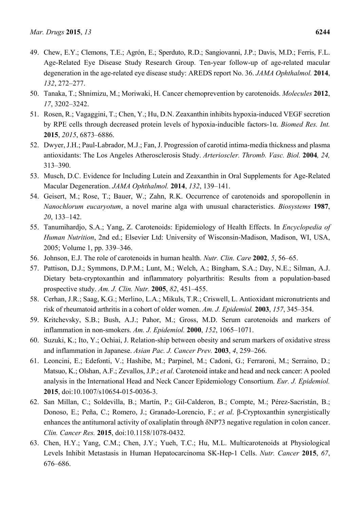- 49. Chew, E.Y.; Clemons, T.E.; Agrón, E.; Sperduto, R.D.; Sangiovanni, J.P.; Davis, M.D.; Ferris, F.L. Age-Related Eye Disease Study Research Group. Ten-year follow-up of age-related macular degeneration in the age-related eye disease study: AREDS report No. 36. *JAMA Ophthalmol.* **2014**, *132*, 272–277.
- 50. Tanaka, T.; Shnimizu, M.; Moriwaki, H. Cancer chemoprevention by carotenoids. *Molecules* **2012**, *17*, 3202–3242.
- 51. Rosen, R.; Vagaggini, T.; Chen, Y.; Hu, D.N. Zeaxanthin inhibits hypoxia-induced VEGF secretion by RPE cells through decreased protein levels of hypoxia-inducible factors-1α. *Biomed Res. Int.* **2015**, *2015*, 6873–6886.
- 52. Dwyer, J.H.; Paul-Labrador, M.J.; Fan, J. Progression of carotid intima-media thickness and plasma antioxidants: The Los Angeles Atherosclerosis Study. *Arterioscler. Thromb. Vasc. Biol.* **2004***, 24,*  313–390.
- 53. Musch, D.C. Evidence for Including Lutein and Zeaxanthin in Oral Supplements for Age-Related Macular Degeneration. *JAMA Ophthalmol.* **2014**, *132*, 139–141.
- 54. Geisert, M.; Rose, T.; Bauer, W.; Zahn, R.K. Occurrence of carotenoids and sporopollenin in *Nanochlorum eucaryotum*, a novel marine alga with unusual characteristics. *Biosystems* **1987**, *20*, 133–142.
- 55. Tanumihardjo, S.A.; Yang, Z. Carotenoids: Epidemiology of Health Effects. In *Encyclopedia of Human Nutrition*, 2nd ed.; Elsevier Ltd: University of Wisconsin-Madison, Madison, WI, USA, 2005; Volume 1, pp. 339–346.
- 56. Johnson, E.J. The role of carotenoids in human health. *Nutr. Clin. Care* **2002**, *5*, 56–65.
- 57. Pattison, D.J.; Symmons, D.P.M.; Lunt, M.; Welch, A.; Bingham, S.A.; Day, N.E.; Silman, A.J. Dietary beta-cryptoxanthin and inflammatory polyarthritis: Results from a population-based prospective study. *Am. J. Clin. Nutr.* **2005**, *82*, 451–455.
- 58. Cerhan, J.R.; Saag, K.G.; Merlino, L.A.; Mikuls, T.R.; Criswell, L. Antioxidant micronutrients and risk of rheumatoid arthritis in a cohort of older women. *Am. J. Epidemiol.* **2003**, *157*, 345–354.
- 59. Kritchevsky, S.B.; Bush, A.J.; Pahor, M.; Gross, M.D. Serum carotenoids and markers of inflammation in non-smokers. *Am. J. Epidemiol.* **2000**, *152*, 1065–1071.
- 60. Suzuki, K.; Ito, Y.; Ochiai, J. Relation-ship between obesity and serum markers of oxidative stress and inflammation in Japanese. *Asian Pac. J. Cancer Prev.* **2003**, *4*, 259–266.
- 61. Leoncini, E.; Edefonti, V.; Hashibe, M.; Parpinel, M.; Cadoni, G.; Ferraroni, M.; Serraino, D.; Matsuo, K.; Olshan, A.F.; Zevallos, J.P.; *et al*. Carotenoid intake and head and neck cancer: A pooled analysis in the International Head and Neck Cancer Epidemiology Consortium. *Eur. J. Epidemiol.* **2015**, doi:10.1007/s10654-015-0036-3.
- 62. San Millan, C.; Soldevilla, B.; Martín, P.; Gil-Calderon, B.; Compte, M.; Pérez-Sacristán, B.; Donoso, E.; Peña, C.; Romero, J.; Granado-Lorencio, F.; *et al*. β-Cryptoxanthin synergistically enhances the antitumoral activity of oxaliplatin through δNP73 negative regulation in colon cancer. *Clin. Cancer Res.* **2015**, doi:10.1158/1078-0432.
- 63. Chen, H.Y.; Yang, C.M.; Chen, J.Y.; Yueh, T.C.; Hu, M.L. Multicarotenoids at Physiological Levels Inhibit Metastasis in Human Hepatocarcinoma SK-Hep-1 Cells. *Nutr. Cancer* **2015**, *67*, 676–686.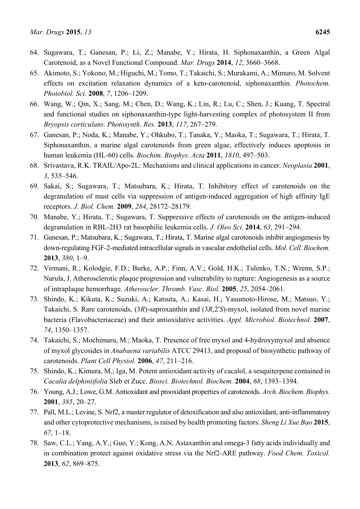- 64. Sugawara, T.; Ganesan, P.; Li, Z.; Manabe, Y.; Hirata, H. Siphonaxanthin, a Green Algal Carotenoid, as a Novel Functional Compound. *Mar. Drugs* **2014**, *12*, 3660–3668.
- 65. Akimoto, S.; Yokono, M.; Higuchi, M.; Tomo, T.; Takaichi, S.; Murakami, A.; Mimuro, M. Solvent effects on excitation relaxation dynamics of a keto-carotenoid, siphonaxanthin. *Photochem. Photobiol. Sci.* **2008**, *7*, 1206–1209.
- 66. Wang, W.; Qin, X.; Sang, M.; Chen, D.; Wang, K.; Lin, R.; Lu, C.; Shen, J.; Kuang, T. Spectral and functional studies on siphonaxanthin-type light-harvesting complex of photosystem II from *Bryopsis corticulans*. *Photosynth. Res.* **2013**, *117*, 267–279.
- 67. Ganesan, P.; Noda, K.; Manabe, Y.; Ohkubo, T.; Tanaka, Y.; Maoka, T.; Sugawara, T.; Hirata, T. Siphonaxanthin, a marine algal carotenoids from green algae, effectively induces apoptosis in human leukemia (HL-60) cells. *Biochim. Biophys. Acta* **2011**, *1810*, 497–503.
- 68. Srivastava, R.K. TRAIL/Apo-2L: Mechanisms and clinical applications in cancer. *Neoplasia* **2001**, *3*, 535–546.
- 69. Sakai, S.; Sugawara, T.; Matsubara, K.; Hirata, T. Inhibitory effect of carotenoids on the degranulation of mast cells via suppression of antigen-induced aggregation of high affinity IgE receptors. *J. Biol. Chem.* **2009**, *284*, 28172–28179.
- 70. Manabe, Y.; Hirata, T.; Sugawara, T. Suppressive effects of carotenoids on the antigen-induced degranulation in RBL-2H3 rat basophilic leukemia cells. *J. Oleo Sci.* **2014**, *63*, 291–294.
- 71. Ganesan, P.; Matsubara, K.; Sugawara, T.; Hirata, T. Marine algal carotenoids inhibit angiogenesis by down-regulating FGF-2-mediated intracellular signals in vascular endothelial cells. *Mol. Cell. Biochem.*  **2013**, *380*, 1–9.
- 72. Virmani, R.; Kolodgie, F.D.; Burke, A.P.; Finn, A.V.; Gold, H.K.; Tulenko, T.N.; Wrenn, S.P.; Narula, J. Atherosclerotic plaque progression and vulnerability to rupture: Angiogenesis as a source of intraplaque hemorrhage. *Atheroscler. Thromb. Vasc. Biol.* **2005**, *25*, 2054–2061.
- 73. Shindo, K.; Kikuta, K.; Suzuki, A.; Katsuta, A.; Kasai, H.; Yasumoto-Hirose, M.; Matsuo, Y.; Takaichi, S. Rare carotenoids, (3*R*)-saproxanthin and (3*R*,2′*S*)-myxol, isolated from novel marine bacteria (Flavobacteriaceae) and their antioxidative activities. *Appl. Microbiol. Biotechnol.* **2007**, *74*, 1350–1357.
- 74. Takaichi, S.; Mochimaru, M.; Maoka, T. Presence of free myxol and 4-hydroxymyxol and absence of myxol glycosides in *Anabaena variabilis* ATCC 29413, and proposal of biosynthetic pathway of carotenoids. *Plant Cell Physiol.* **2006**, *47*, 211–216.
- 75. Shindo, K.; Kimura, M.; Iga, M. Potent antioxidant activity of cacalol, a sesquiterpene contained in *Cacalia delphiniifolia* Sleb et Zucc. *Biosci. Biotechnol. Biochem.* **2004**, *68*, 1393–1394.
- 76. Young, A.J.; Lowe, G.M. Antioxidant and prooxidant properties of carotenoids. *Arch. Biochem. Biophys.* **2001**, *385*, 20–27.
- 77. Pall, M.L.; Levine, S. Nrf2, a master regulator of detoxification and also antioxidant, anti-inflammatory and other cytoprotective mechanisms, is raised by health promoting factors. *Sheng Li Xue Bao* **2015**, *67*, 1–18.
- 78. Saw, C.L.; Yang, A.Y.; Guo, Y.; Kong, A.N. Astaxanthin and omega-3 fatty acids individually and in combination protect against oxidative stress via the Nrf2-ARE pathway. *Food Chem. Toxicol.* **2013**, *62*, 869–875.